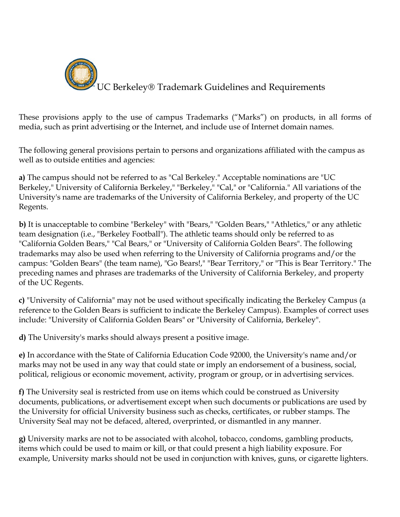

These provisions apply to the use of campus Trademarks ("Marks") on products, in all forms of media, such as print advertising or the Internet, and include use of Internet domain names.

The following general provisions pertain to persons and organizations affiliated with the campus as well as to outside entities and agencies:

**a)** The campus should not be referred to as "Cal Berkeley." Acceptable nominations are "UC Berkeley," University of California Berkeley," "Berkeley," "Cal," or "California." All variations of the University's name are trademarks of the University of California Berkeley, and property of the UC Regents.

**b)** It is unacceptable to combine "Berkeley" with "Bears," "Golden Bears," "Athletics," or any athletic team designation (i.e., "Berkeley Football"). The athletic teams should only be referred to as "California Golden Bears," "Cal Bears," or "University of California Golden Bears". The following trademarks may also be used when referring to the University of California programs and/or the campus: "Golden Bears" (the team name), "Go Bears!," "Bear Territory," or "This is Bear Territory." The preceding names and phrases are trademarks of the University of California Berkeley, and property of the UC Regents.

**c)** "University of California" may not be used without specifically indicating the Berkeley Campus (a reference to the Golden Bears is sufficient to indicate the Berkeley Campus). Examples of correct uses include: "University of California Golden Bears" or "University of California, Berkeley".

**d)** The University's marks should always present a positive image.

**e)** In accordance with the State of California Education Code 92000, the University's name and/or marks may not be used in any way that could state or imply an endorsement of a business, social, political, religious or economic movement, activity, program or group, or in advertising services.

**f)** The University seal is restricted from use on items which could be construed as University documents, publications, or advertisement except when such documents or publications are used by the University for official University business such as checks, certificates, or rubber stamps. The University Seal may not be defaced, altered, overprinted, or dismantled in any manner.

**g)** University marks are not to be associated with alcohol, tobacco, condoms, gambling products, items which could be used to maim or kill, or that could present a high liability exposure. For example, University marks should not be used in conjunction with knives, guns, or cigarette lighters.